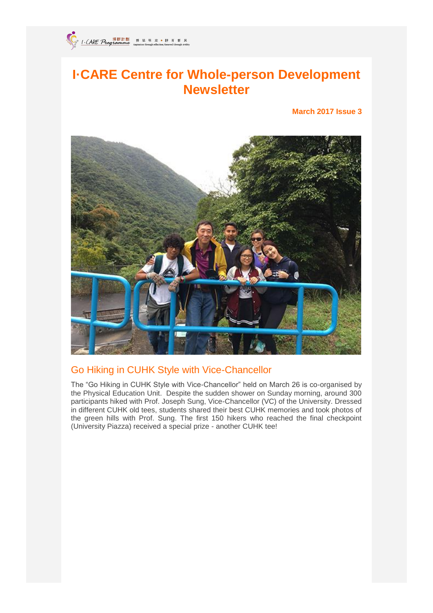

# **I·CARE Centre for Whole-person Development Newsletter**

**March 2017 Issue 3**



# Go Hiking in CUHK Style with Vice-Chancellor

The "Go Hiking in CUHK Style with Vice-Chancellor" held on March 26 is co-organised by the Physical Education Unit. Despite the sudden shower on Sunday morning, around 300 participants hiked with Prof. Joseph Sung, Vice-Chancellor (VC) of the University. Dressed in different CUHK old tees, students shared their best CUHK memories and took photos of the green hills with Prof. Sung. The first 150 hikers who reached the final checkpoint (University Piazza) received a special prize - another CUHK tee!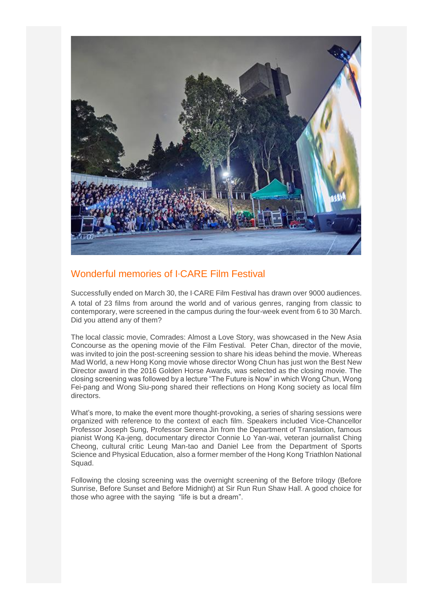

# Wonderful memories of I‧CARE Film Festival

Successfully ended on March 30, the I‧CARE Film Festival has drawn over 9000 audiences. A total of 23 films from around the world and of various genres, ranging from classic to contemporary, were screened in the campus during the four-week event from 6 to 30 March. Did you attend any of them?

The local classic movie, Comrades: Almost a Love Story, was showcased in the New Asia Concourse as the opening movie of the Film Festival. Peter Chan, director of the movie, was invited to join the post-screening session to share his ideas behind the movie. Whereas Mad World, a new Hong Kong movie whose director Wong Chun has just won the Best New Director award in the 2016 Golden Horse Awards, was selected as the closing movie. The closing screening was followed by a lecture "The Future is Now" in which Wong Chun, Wong Fei-pang and Wong Siu-pong shared their reflections on Hong Kong society as local film directors.

What's more, to make the event more thought-provoking, a series of sharing sessions were organized with reference to the context of each film. Speakers included Vice-Chancellor Professor Joseph Sung, Professor Serena Jin from the Department of Translation, famous pianist Wong Ka-jeng, documentary director Connie Lo Yan-wai, veteran journalist Ching Cheong, cultural critic Leung Man-tao and Daniel Lee from the Department of Sports Science and Physical Education, also a former member of the Hong Kong Triathlon National Squad.

Following the closing screening was the overnight screening of the Before trilogy (Before Sunrise, Before Sunset and Before Midnight) at Sir Run Run Shaw Hall. A good choice for those who agree with the saying "life is but a dream".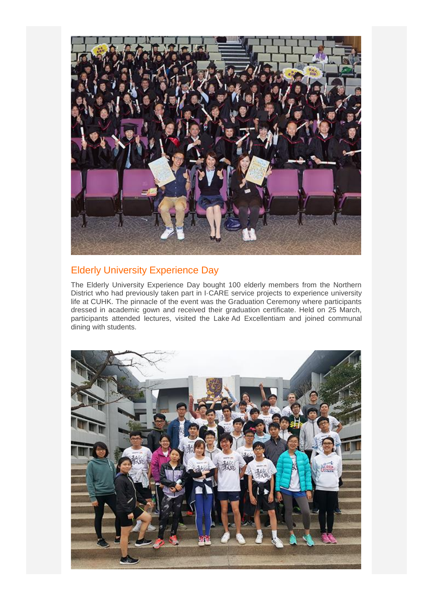

# Elderly University Experience Day

The Elderly University Experience Day bought 100 elderly members from the Northern District who had previously taken part in I·CARE service projects to experience university life at CUHK. The pinnacle of the event was the Graduation Ceremony where participants dressed in academic gown and received their graduation certificate. Held on 25 March, participants attended lectures, visited the Lake Ad Excellentiam and joined communal dining with students.

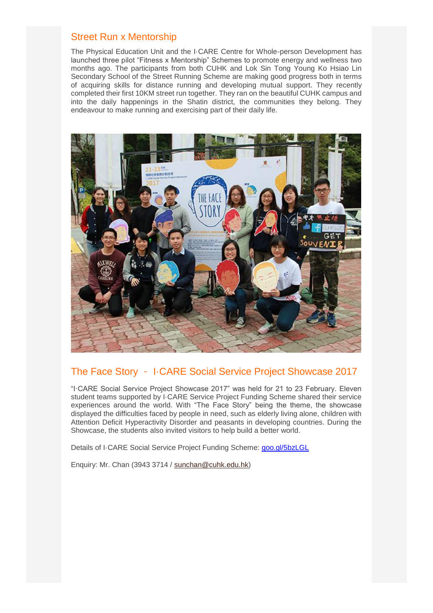#### Street Run x Mentorship

The Physical Education Unit and the I·CARE Centre for Whole-person Development has launched three pilot "Fitness x Mentorship" Schemes to promote energy and wellness two months ago. The participants from both CUHK and Lok Sin Tong Young Ko Hsiao Lin Secondary School of the Street Running Scheme are making good progress both in terms of acquiring skills for distance running and developing mutual support. They recently completed their first 10KM street run together. They ran on the beautiful CUHK campus and into the daily happenings in the Shatin district, the communities they belong. They endeavour to make running and exercising part of their daily life.



# The Face Story - I·CARE Social Service Project Showcase 2017

"I·CARE Social Service Project Showcase 2017" was held for 21 to 23 February. Eleven student teams supported by I·CARE Service Project Funding Scheme shared their service experiences around the world. With "The Face Story" being the theme, the showcase displayed the difficulties faced by people in need, such as elderly living alone, children with Attention Deficit Hyperactivity Disorder and peasants in developing countries. During the Showcase, the students also invited visitors to help build a better world.

Details of I·CARE Social Service Project Funding Scheme: [goo.gl/5bzLGL](http://www4.cuhk.edu.hk/icare/goo.gl/5bzLGL)

Enquiry: Mr. Chan (3943 3714 / [sunchan@cuhk.edu.hk\)](mailto:sunchan@cuhk.edu.hk)